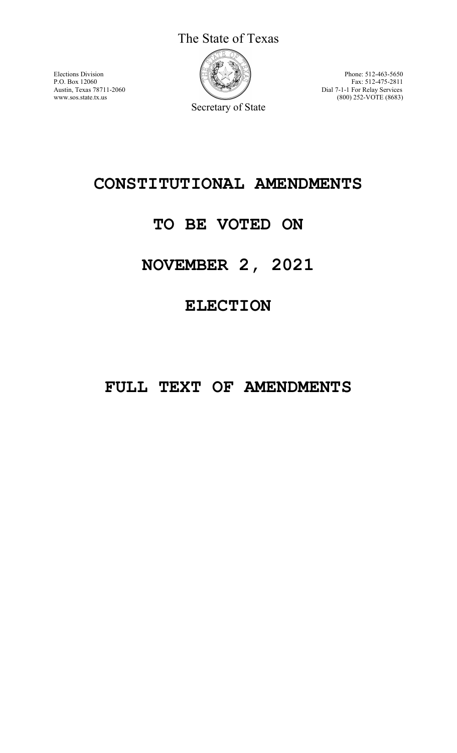The State of Texas



Elections Division **Phone:** 512-463-5650 P.O. Box 12060 Fax: 512-475-2811 Austin, Texas 78711-2060 Dial 7-1-1 For Relay Services<br>www.sos.state.tx.us (800) 252-VOTE (8683) (800) 252-VOTE (8683)

Secretary of State

# **CONSTITUTIONAL AMENDMENTS**

# **TO BE VOTED ON**

# **NOVEMBER 2, 2021**

# **ELECTION**

# **FULL TEXT OF AMENDMENTS**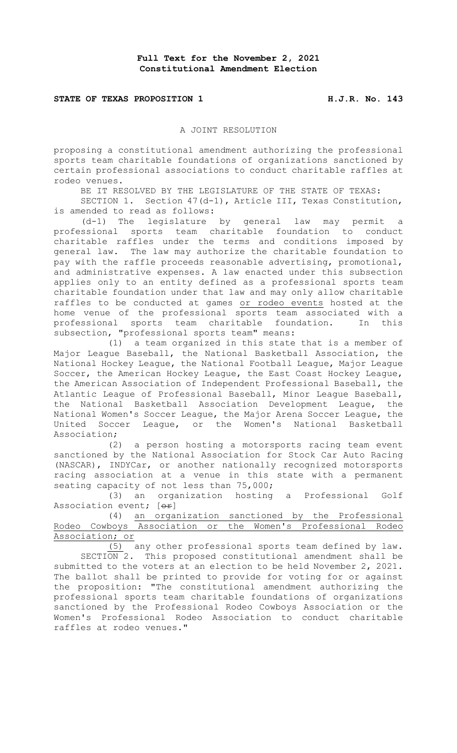#### **STATE OF TEXAS PROPOSITION 1 H.J.R. No. 143**

#### A JOINT RESOLUTION

proposing a constitutional amendment authorizing the professional sports team charitable foundations of organizations sanctioned by certain professional associations to conduct charitable raffles at rodeo venues.

BE IT RESOLVED BY THE LEGISLATURE OF THE STATE OF TEXAS:

SECTION 1. Section 47(d-1), Article III, Texas Constitution, is amended to read as follows:

(d-1) The legislature by general law may permit a professional sports team charitable foundation to conduct charitable raffles under the terms and conditions imposed by general law. The law may authorize the charitable foundation to pay with the raffle proceeds reasonable advertising, promotional, and administrative expenses. A law enacted under this subsection applies only to an entity defined as a professional sports team charitable foundation under that law and may only allow charitable raffles to be conducted at games or rodeo events hosted at the home venue of the professional sports team associated with a professional sports team charitable foundation. In this subsection, "professional sports team" means:

(1) a team organized in this state that is a member of Major League Baseball, the National Basketball Association, the National Hockey League, the National Football League, Major League Soccer, the American Hockey League, the East Coast Hockey League, the American Association of Independent Professional Baseball, the Atlantic League of Professional Baseball, Minor League Baseball, the National Basketball Association Development League, the National Women's Soccer League, the Major Arena Soccer League, the United Soccer League, or the Women's National Basketball Association;

(2) a person hosting a motorsports racing team event sanctioned by the National Association for Stock Car Auto Racing (NASCAR), INDYCar, or another nationally recognized motorsports racing association at a venue in this state with a permanent seating capacity of not less than 75,000;

(3) an organization hosting a Professional Golf Association event; [or]

(4) an organization sanctioned by the Professional Rodeo Cowboys Association or the Women's Professional Rodeo Association; or

(5) any other professional sports team defined by law. SECTION 2. This proposed constitutional amendment shall be submitted to the voters at an election to be held November 2, 2021. The ballot shall be printed to provide for voting for or against the proposition: "The constitutional amendment authorizing the professional sports team charitable foundations of organizations sanctioned by the Professional Rodeo Cowboys Association or the Women's Professional Rodeo Association to conduct charitable raffles at rodeo venues."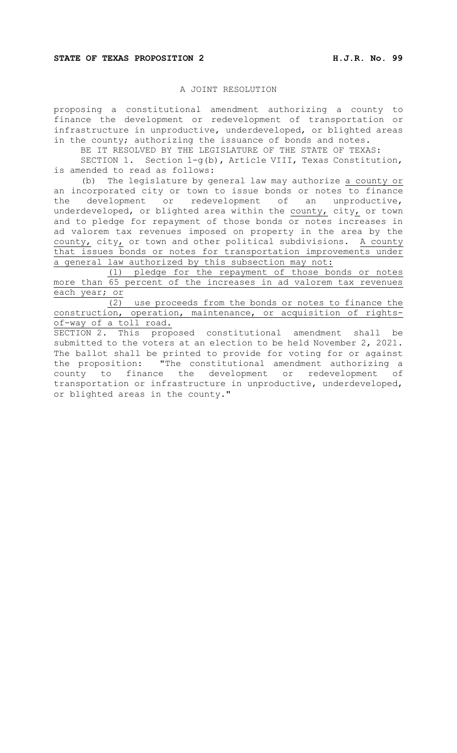### A JOINT RESOLUTION

proposing a constitutional amendment authorizing a county to finance the development or redevelopment of transportation or infrastructure in unproductive, underdeveloped, or blighted areas in the county; authorizing the issuance of bonds and notes.

BE IT RESOLVED BY THE LEGISLATURE OF THE STATE OF TEXAS:

SECTION 1. Section 1-g(b), Article VIII, Texas Constitution, is amended to read as follows:

(b) The legislature by general law may authorize a county or an incorporated city or town to issue bonds or notes to finance the development or redevelopment of an unproductive, underdeveloped, or blighted area within the  $county$ , city, or town and to pledge for repayment of those bonds or notes increases in ad valorem tax revenues imposed on property in the area by the county, city, or town and other political subdivisions. A county that issues bonds or notes for transportation improvements under a general law authorized by this subsection may not:

(1) pledge for the repayment of those bonds or notes more than 65 percent of the increases in ad valorem tax revenues each year; or

(2) use proceeds from the bonds or notes to finance the construction, operation, maintenance, or acquisition of rightsof-way of a toll road.

SECTION 2. This proposed constitutional amendment shall be submitted to the voters at an election to be held November 2, 2021. The ballot shall be printed to provide for voting for or against the proposition: "The constitutional amendment authorizing a county to finance the development or redevelopment of transportation or infrastructure in unproductive, underdeveloped, or blighted areas in the county."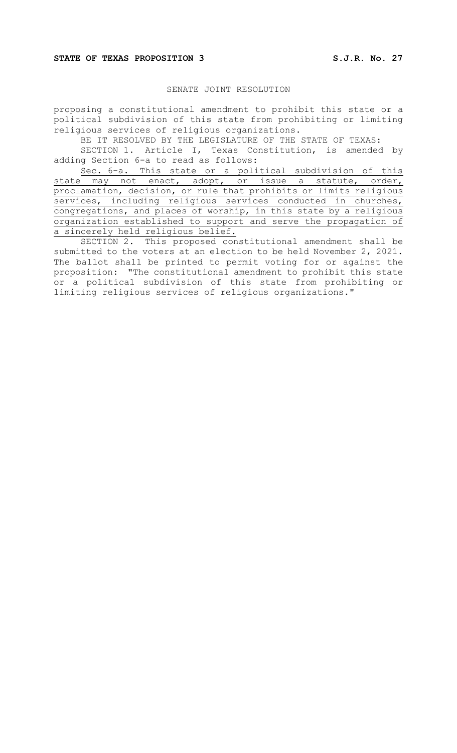# SENATE JOINT RESOLUTION

proposing a constitutional amendment to prohibit this state or a political subdivision of this state from prohibiting or limiting religious services of religious organizations.

BE IT RESOLVED BY THE LEGISLATURE OF THE STATE OF TEXAS: SECTION 1. Article I, Texas Constitution, is amended by adding Section 6-a to read as follows:

Sec. 6-a. This state or a political subdivision of this state may not enact, adopt, or issue a statute, order, proclamation, decision, or rule that prohibits or limits religious services, including religious services conducted in churches, congregations, and places of worship, in this state by a religious organization established to support and serve the propagation of a sincerely held religious belief.

SECTION 2. This proposed constitutional amendment shall be submitted to the voters at an election to be held November 2, 2021. The ballot shall be printed to permit voting for or against the proposition: "The constitutional amendment to prohibit this state or a political subdivision of this state from prohibiting or limiting religious services of religious organizations."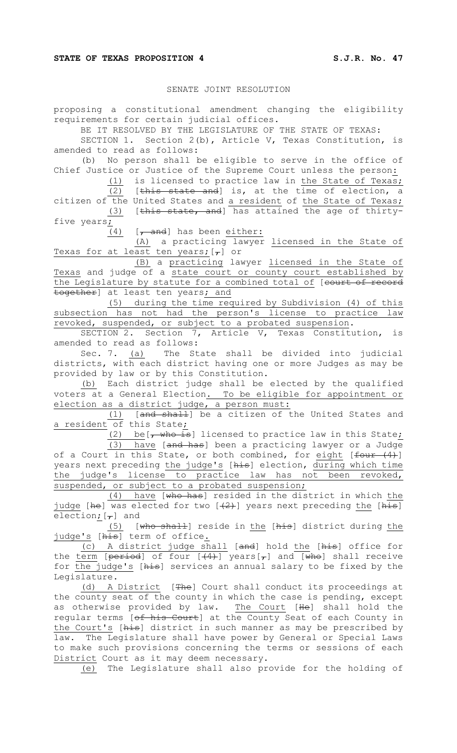# SENATE JOINT RESOLUTION

proposing a constitutional amendment changing the eligibility requirements for certain judicial offices.

BE IT RESOLVED BY THE LEGISLATURE OF THE STATE OF TEXAS:

SECTION 1. Section 2(b), Article V, Texas Constitution, is amended to read as follows:

(b) No person shall be eligible to serve in the office of Chief Justice or Justice of the Supreme Court unless the person:

(1) is licensed to practice law in the State of Texas; (2) [this state and] is, at the time of election, a

citizen of the United States and a resident of the State of Texas; (3) [this state, and] has attained the age of thirtyfive years;

 $(4)$  [, and] has been either:

(A) a practicing lawyer licensed in the State of Texas for at least ten years;  $[\tau]$  or

(B) a practicing lawyer licensed in the State of Texas and judge of a state court or county court established by the Legislature by statute for a combined total of [court of record together] at least ten years; and

(5) during the time required by Subdivision (4) of this subsection has not had the person's license to practice law revoked, suspended, or subject to a probated suspension.

SECTION 2. Section 7, Article V, Texas Constitution, is amended to read as follows:

Sec. 7. (a) The State shall be divided into judicial districts, with each district having one or more Judges as may be provided by law or by this Constitution.

(b) Each district judge shall be elected by the qualified voters at a General Election. To be eligible for appointment or election as a district judge, a person must:

(1) [and shall] be a citizen of the United States and a resident of this State;

(2) be  $\frac{1}{1}$  who is licensed to practice law in this State; (3) have [and has] been a practicing lawyer or a Judge of a Court in this State, or both combined, for eight  $f$  (four  $(4)$ ) years next preceding the judge's [his] election, during which time the judge's license to practice law has not been revoked, suspended, or subject to a probated suspension;

(4) have [who has] resided in the district in which the judge [he] was elected for two  $[+2+]$  years next preceding the  $[\frac{1}{n+1}]$ election;  $[-]$  and

(5) [who shall] reside in the [his] district during the <u>judge's</u> [<del>his</del>] term of office<u>.</u>

(c) A district judge shall [and] hold the [his] office for the <u>term</u> [<del>period</del>] of four [<del>(4)</del>] years[<del>,</del>] and [<del>who</del>] shall receive for the judge's [his] services an annual salary to be fixed by the Legislature.

(d) A District [The] Court shall conduct its proceedings at the county seat of the county in which the case is pending, except as otherwise provided by law. <u>The Court</u> [<del>He</del>] shall hold the regular terms [of his Court] at the County Seat of each County in the Court's [his] district in such manner as may be prescribed by law. The Legislature shall have power by General or Special Laws to make such provisions concerning the terms or sessions of each District Court as it may deem necessary.

(e) The Legislature shall also provide for the holding of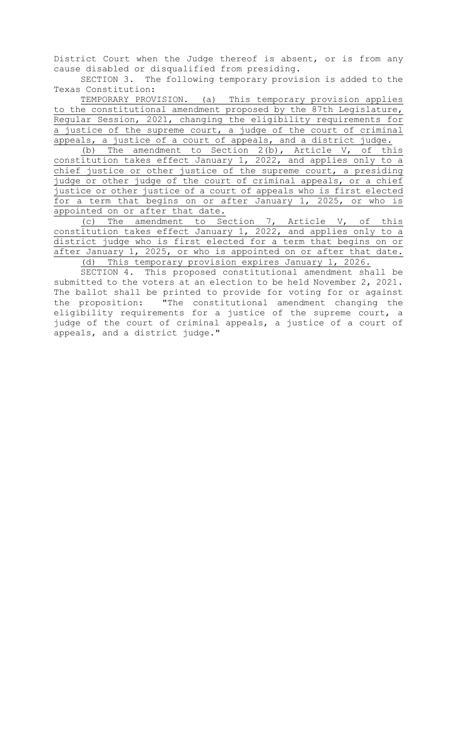District Court when the Judge thereof is absent, or is from any cause disabled or disqualified from presiding.

SECTION 3. The following temporary provision is added to the Texas Constitution:

TEMPORARY PROVISION. (a) This temporary provision applies to the constitutional amendment proposed by the 87th Legislature, Regular Session, 2021, changing the eligibility requirements for a justice of the supreme court, a judge of the court of criminal appeals, a justice of a court of appeals, and a district judge.

(b) The amendment to Section 2(b), Article V, of this constitution takes effect January 1, 2022, and applies only to a chief justice or other justice of the supreme court, a presiding judge or other judge of the court of criminal appeals, or a chief justice or other justice of a court of appeals who is first elected for a term that begins on or after January 1, 2025, or who is appointed on or after that date.

(c) The amendment to Section 7, Article V, of this constitution takes effect January 1, 2022, and applies only to a district judge who is first elected for a term that begins on or after January 1, 2025, or who is appointed on or after that date. (d) This temporary provision expires January 1, 2026.

SECTION 4. This proposed constitutional amendment shall be submitted to the voters at an election to be held November 2, 2021. The ballot shall be printed to provide for voting for or against the proposition: "The constitutional amendment changing the eligibility requirements for a justice of the supreme court, a judge of the court of criminal appeals, a justice of a court of appeals, and a district judge."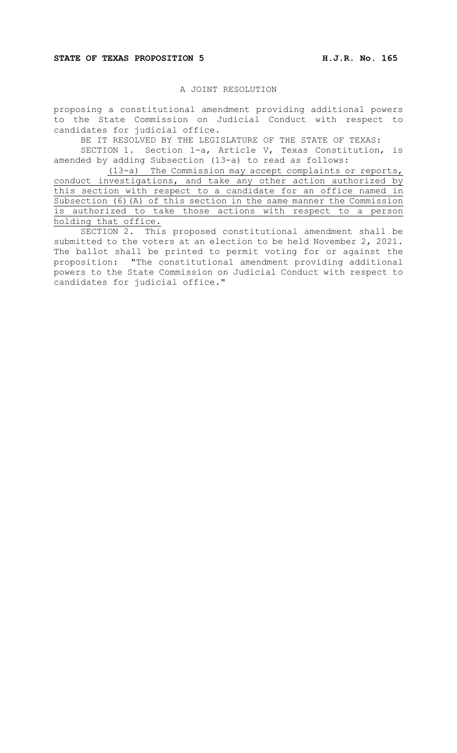### **STATE OF TEXAS PROPOSITION 5 H.J.R. No. 165**

# A JOINT RESOLUTION

proposing a constitutional amendment providing additional powers to the State Commission on Judicial Conduct with respect to candidates for judicial office.

BE IT RESOLVED BY THE LEGISLATURE OF THE STATE OF TEXAS:

SECTION 1. Section 1-a, Article V, Texas Constitution, is amended by adding Subsection (13-a) to read as follows:

(13-a) The Commission may accept complaints or reports, conduct investigations, and take any other action authorized by this section with respect to a candidate for an office named in Subsection (6)(A) of this section in the same manner the Commission is authorized to take those actions with respect to a person holding that office.

SECTION 2. This proposed constitutional amendment shall be submitted to the voters at an election to be held November 2, 2021. The ballot shall be printed to permit voting for or against the proposition: "The constitutional amendment providing additional powers to the State Commission on Judicial Conduct with respect to candidates for judicial office."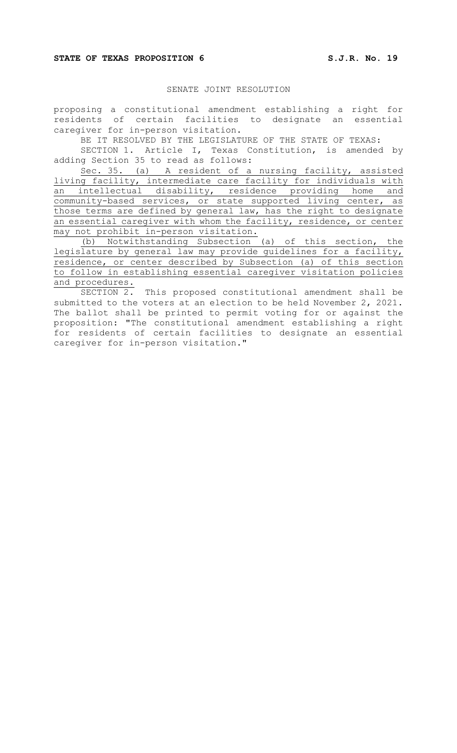# SENATE JOINT RESOLUTION

proposing a constitutional amendment establishing a right for residents of certain facilities to designate an essential caregiver for in-person visitation.

BE IT RESOLVED BY THE LEGISLATURE OF THE STATE OF TEXAS:

SECTION 1. Article I, Texas Constitution, is amended by adding Section 35 to read as follows:

Sec. 35. (a) A resident of a nursing facility, assisted living facility, intermediate care facility for individuals with an intellectual disability, residence providing home and community-based services, or state supported living center, as those terms are defined by general law, has the right to designate an essential caregiver with whom the facility, residence, or center may not prohibit in-person visitation.

(b) Notwithstanding Subsection (a) of this section, the legislature by general law may provide guidelines for a facility, residence, or center described by Subsection (a) of this section to follow in establishing essential caregiver visitation policies and procedures.<br>SECTION 2.

This proposed constitutional amendment shall be submitted to the voters at an election to be held November 2, 2021. The ballot shall be printed to permit voting for or against the proposition: "The constitutional amendment establishing a right for residents of certain facilities to designate an essential caregiver for in-person visitation."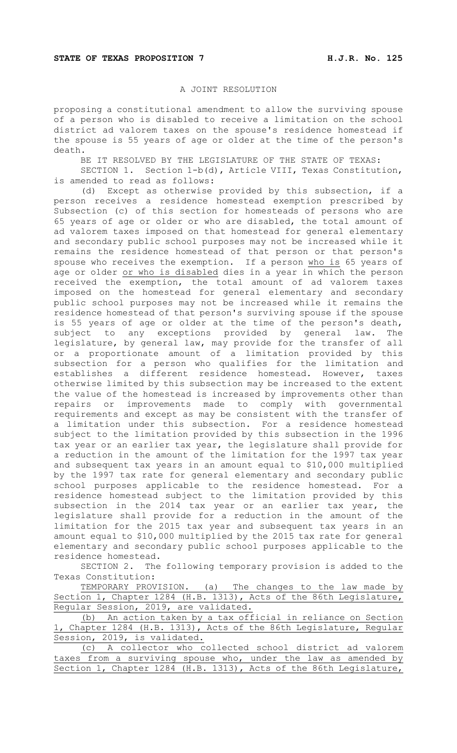# A JOINT RESOLUTION

proposing a constitutional amendment to allow the surviving spouse of a person who is disabled to receive a limitation on the school district ad valorem taxes on the spouse's residence homestead if the spouse is 55 years of age or older at the time of the person's death.

BE IT RESOLVED BY THE LEGISLATURE OF THE STATE OF TEXAS:

SECTION 1. Section 1-b(d), Article VIII, Texas Constitution, is amended to read as follows:

(d) Except as otherwise provided by this subsection, if a person receives a residence homestead exemption prescribed by Subsection (c) of this section for homesteads of persons who are 65 years of age or older or who are disabled, the total amount of ad valorem taxes imposed on that homestead for general elementary and secondary public school purposes may not be increased while it remains the residence homestead of that person or that person's spouse who receives the exemption. If a person who is 65 years of age or older or who is disabled dies in a year in which the person received the exemption, the total amount of ad valorem taxes imposed on the homestead for general elementary and secondary public school purposes may not be increased while it remains the residence homestead of that person's surviving spouse if the spouse is 55 years of age or older at the time of the person's death, subject to any exceptions provided by general law. The legislature, by general law, may provide for the transfer of all or a proportionate amount of a limitation provided by this subsection for a person who qualifies for the limitation and establishes a different residence homestead. However, taxes otherwise limited by this subsection may be increased to the extent the value of the homestead is increased by improvements other than repairs or improvements made to comply with governmental requirements and except as may be consistent with the transfer of a limitation under this subsection. For a residence homestead subject to the limitation provided by this subsection in the 1996 tax year or an earlier tax year, the legislature shall provide for a reduction in the amount of the limitation for the 1997 tax year and subsequent tax years in an amount equal to \$10,000 multiplied by the 1997 tax rate for general elementary and secondary public school purposes applicable to the residence homestead. For a residence homestead subject to the limitation provided by this subsection in the 2014 tax year or an earlier tax year, the legislature shall provide for a reduction in the amount of the limitation for the 2015 tax year and subsequent tax years in an amount equal to \$10,000 multiplied by the 2015 tax rate for general elementary and secondary public school purposes applicable to the residence homestead.

SECTION 2. The following temporary provision is added to the Texas Constitution:

TEMPORARY PROVISION. (a) The changes to the law made by Section 1, Chapter 1284 (H.B. 1313), Acts of the 86th Legislature, Regular Session, 2019, are validated.

(b) An action taken by a tax official in reliance on Section 1, Chapter 1284 (H.B. 1313), Acts of the 86th Legislature, Regular Session, 2019, is validated.

(c) A collector who collected school district ad valorem taxes from a surviving spouse who, under the law as amended by Section 1, Chapter 1284 (H.B. 1313), Acts of the 86th Legislature,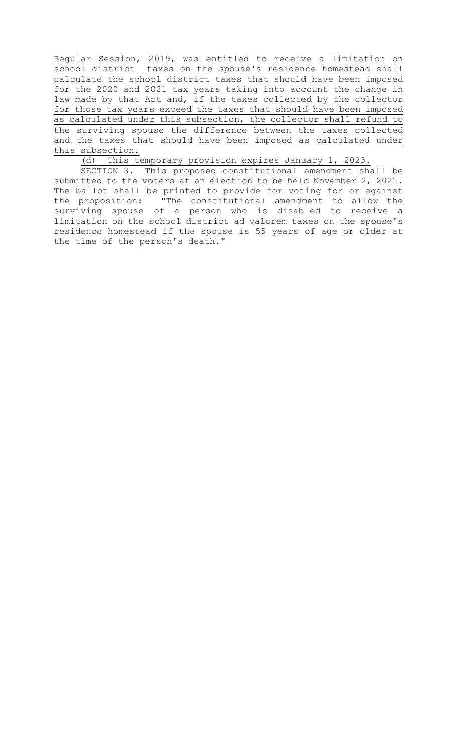Regular Session, 2019, was entitled to receive a limitation on school district taxes on the spouse's residence homestead shall calculate the school district taxes that should have been imposed for the 2020 and 2021 tax years taking into account the change in law made by that Act and, if the taxes collected by the collector for those tax years exceed the taxes that should have been imposed as calculated under this subsection, the collector shall refund to the surviving spouse the difference between the taxes collected and the taxes that should have been imposed as calculated under this subsection.

(d) This temporary provision expires January 1, 2023.

SECTION 3. This proposed constitutional amendment shall be submitted to the voters at an election to be held November 2, 2021. The ballot shall be printed to provide for voting for or against the proposition: "The constitutional amendment to allow the surviving spouse of a person who is disabled to receive a limitation on the school district ad valorem taxes on the spouse's residence homestead if the spouse is 55 years of age or older at the time of the person's death."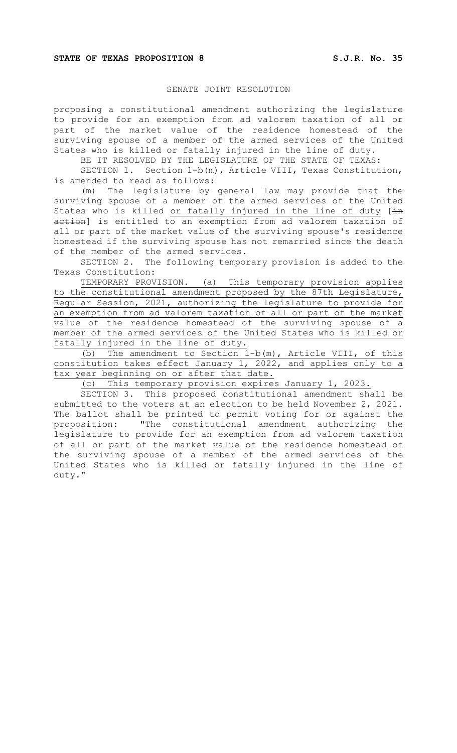### SENATE JOINT RESOLUTION

proposing a constitutional amendment authorizing the legislature to provide for an exemption from ad valorem taxation of all or part of the market value of the residence homestead of the surviving spouse of a member of the armed services of the United States who is killed or fatally injured in the line of duty.

BE IT RESOLVED BY THE LEGISLATURE OF THE STATE OF TEXAS:

SECTION 1. Section 1-b(m), Article VIII, Texas Constitution, is amended to read as follows:

(m) The legislature by general law may provide that the surviving spouse of a member of the armed services of the United States who is killed or fatally injured in the line of duty  $[\pm n]$ action] is entitled to an exemption from ad valorem taxation of all or part of the market value of the surviving spouse's residence homestead if the surviving spouse has not remarried since the death of the member of the armed services.

SECTION 2. The following temporary provision is added to the Texas Constitution:

TEMPORARY PROVISION. (a) This temporary provision applies to the constitutional amendment proposed by the 87th Legislature, Regular Session, 2021, authorizing the legislature to provide for an exemption from ad valorem taxation of all or part of the market value of the residence homestead of the surviving spouse of a member of the armed services of the United States who is killed or fatally injured in the line of duty.

(b) The amendment to Section 1-b(m), Article VIII, of this constitution takes effect January 1, 2022, and applies only to a tax year beginning on or after that date.

(c) This temporary provision expires January 1, 2023.

SECTION 3. This proposed constitutional amendment shall be submitted to the voters at an election to be held November 2, 2021. The ballot shall be printed to permit voting for or against the proposition: "The constitutional amendment authorizing the legislature to provide for an exemption from ad valorem taxation of all or part of the market value of the residence homestead of the surviving spouse of a member of the armed services of the United States who is killed or fatally injured in the line of duty."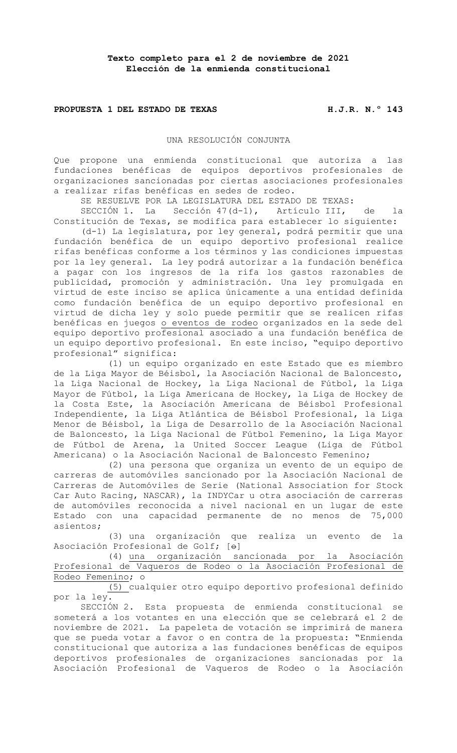# **PROPUESTA 1 DEL ESTADO DE TEXAS H.J.R. N.º 143**

#### UNA RESOLUCIÓN CONJUNTA

Que propone una enmienda constitucional que autoriza a las fundaciones benéficas de equipos deportivos profesionales de organizaciones sancionadas por ciertas asociaciones profesionales a realizar rifas benéficas en sedes de rodeo.

SE RESUELVE POR LA LEGISLATURA DEL ESTADO DE TEXAS:

SECCIÓN 1. La Sección 47(d-1), Artículo III, de la Constitución de Texas, se modifica para establecer lo siguiente:

(d-1) La legislatura, por ley general, podrá permitir que una fundación benéfica de un equipo deportivo profesional realice rifas benéficas conforme a los términos y las condiciones impuestas por la ley general. La ley podrá autorizar a la fundación benéfica a pagar con los ingresos de la rifa los gastos razonables de publicidad, promoción y administración. Una ley promulgada en virtud de este inciso se aplica únicamente a una entidad definida como fundación benéfica de un equipo deportivo profesional en virtud de dicha ley y solo puede permitir que se realicen rifas benéficas en juegos o eventos de rodeo organizados en la sede del equipo deportivo profesional asociado a una fundación benéfica de un equipo deportivo profesional. En este inciso, "equipo deportivo profesional" significa:

(1) un equipo organizado en este Estado que es miembro de la Liga Mayor de Béisbol, la Asociación Nacional de Baloncesto, la Liga Nacional de Hockey, la Liga Nacional de Fútbol, la Liga Mayor de Fútbol, la Liga Americana de Hockey, la Liga de Hockey de la Costa Este, la Asociación Americana de Béisbol Profesional Independiente, la Liga Atlántica de Béisbol Profesional, la Liga Menor de Béisbol, la Liga de Desarrollo de la Asociación Nacional de Baloncesto, la Liga Nacional de Fútbol Femenino, la Liga Mayor de Fútbol de Arena, la United Soccer League (Liga de Fútbol Americana) o la Asociación Nacional de Baloncesto Femenino;

(2) una persona que organiza un evento de un equipo de carreras de automóviles sancionado por la Asociación Nacional de Carreras de Automóviles de Serie (National Association for Stock Car Auto Racing, NASCAR), la INDYCar u otra asociación de carreras de automóviles reconocida a nivel nacional en un lugar de este Estado con una capacidad permanente de no menos de 75,000 asientos;

(3) una organización que realiza un evento de la Asociación Profesional de Golf;  $[\Theta]$ 

(4) una organización sancionada por la Asociación Profesional de Vaqueros de Rodeo o la Asociación Profesional de Rodeo Femenino; o

(5) cualquier otro equipo deportivo profesional definido por la ley.

SECCIÓN 2. Esta propuesta de enmienda constitucional se someterá a los votantes en una elección que se celebrará el 2 de noviembre de 2021. La papeleta de votación se imprimirá de manera que se pueda votar a favor o en contra de la propuesta: "Enmienda constitucional que autoriza a las fundaciones benéficas de equipos deportivos profesionales de organizaciones sancionadas por la Asociación Profesional de Vaqueros de Rodeo o la Asociación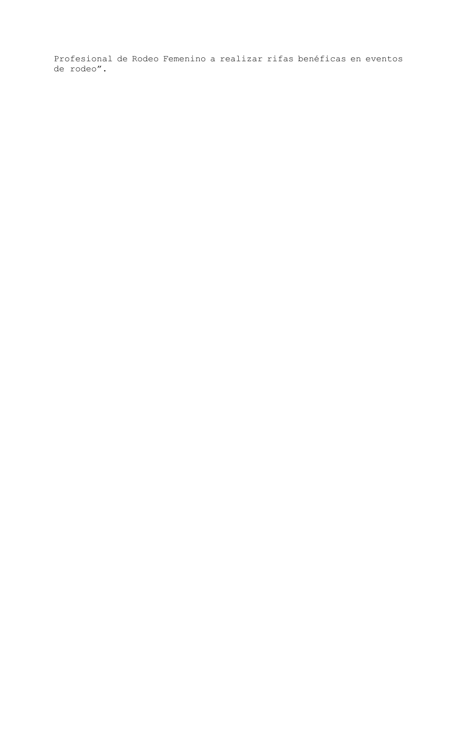Profesional de Rodeo Femenino a realizar rifas benéficas en eventos de rodeo".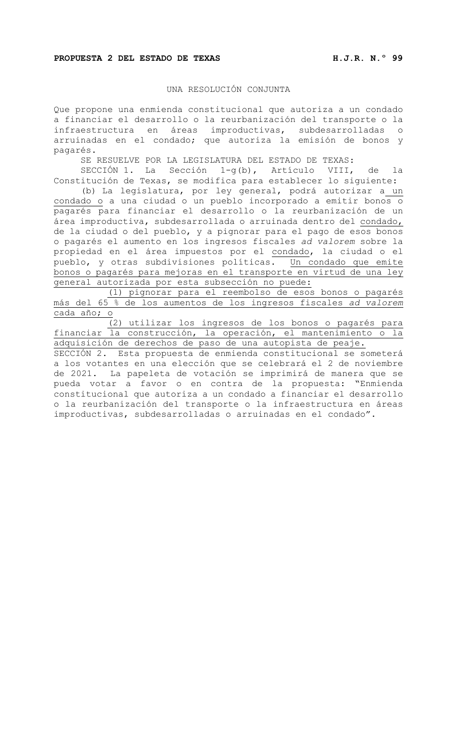### UNA RESOLUCIÓN CONJUNTA

Que propone una enmienda constitucional que autoriza a un condado a financiar el desarrollo o la reurbanización del transporte o la infraestructura en áreas improductivas, subdesarrolladas o arruinadas en el condado; que autoriza la emisión de bonos y pagarés.

SE RESUELVE POR LA LEGISLATURA DEL ESTADO DE TEXAS:

SECCIÓN 1. La Sección 1-g(b), Artículo VIII, de la Constitución de Texas, se modifica para establecer lo siguiente:

(b) La legislatura, por ley general, podrá autorizar a un condado o a una ciudad o un pueblo incorporado a emitir bonos o pagarés para financiar el desarrollo o la reurbanización de un área improductiva, subdesarrollada o arruinada dentro del condado, de la ciudad o del pueblo, y a pignorar para el pago de esos bonos o pagarés el aumento en los ingresos fiscales *ad valorem* sobre la propiedad en el área impuestos por el condado, la ciudad o el pueblo, y otras subdivisiones políticas. Un condado que emite bonos o pagarés para mejoras en el transporte en virtud de una ley general autorizada por esta subsección no puede:

(1) pignorar para el reembolso de esos bonos o pagarés más del 65 % de los aumentos de los ingresos fiscales *ad valorem* cada año; o

(2) utilizar los ingresos de los bonos o pagarés para financiar la construcción, la operación, el mantenimiento o la adquisición de derechos de paso de una autopista de peaje.

SECCIÓN 2. Esta propuesta de enmienda constitucional se someterá a los votantes en una elección que se celebrará el 2 de noviembre de 2021. La papeleta de votación se imprimirá de manera que se pueda votar a favor o en contra de la propuesta: "Enmienda constitucional que autoriza a un condado a financiar el desarrollo o la reurbanización del transporte o la infraestructura en áreas improductivas, subdesarrolladas o arruinadas en el condado".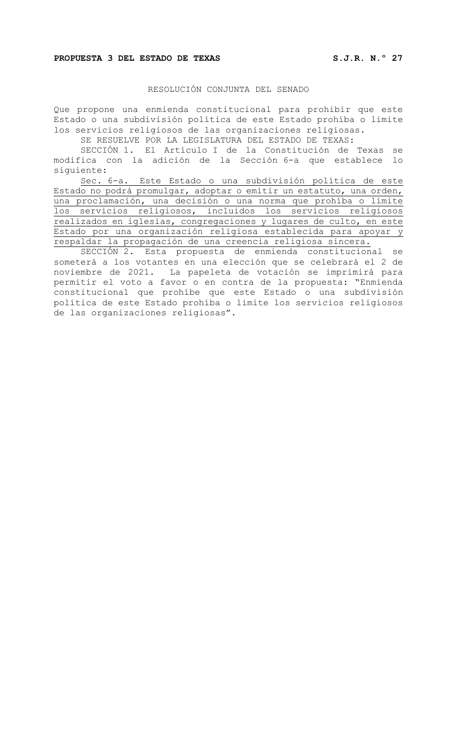#### **PROPUESTA 3 DEL ESTADO DE TEXAS S.J.R. N.º 27**

#### RESOLUCIÓN CONJUNTA DEL SENADO

Que propone una enmienda constitucional para prohibir que este Estado o una subdivisión política de este Estado prohíba o limite los servicios religiosos de las organizaciones religiosas.

SE RESUELVE POR LA LEGISLATURA DEL ESTADO DE TEXAS:

SECCIÓN 1. El Artículo I de la Constitución de Texas se modifica con la adición de la Sección 6-a que establece lo siguiente:

Sec. 6-a. Este Estado o una subdivisión política de este Estado no podrá promulgar, adoptar o emitir un estatuto, una orden, una proclamación, una decisión o una norma que prohíba o limite los servicios religiosos, incluidos los servicios religiosos realizados en iglesias, congregaciones y lugares de culto, en este Estado por una organización religiosa establecida para apoyar y respaldar la propagación de una creencia religiosa sincera.

SECCIÓN 2. Esta propuesta de enmienda constitucional se someterá a los votantes en una elección que se celebrará el 2 de noviembre de 2021. La papeleta de votación se imprimirá para permitir el voto a favor o en contra de la propuesta: "Enmienda constitucional que prohíbe que este Estado o una subdivisión política de este Estado prohíba o limite los servicios religiosos de las organizaciones religiosas".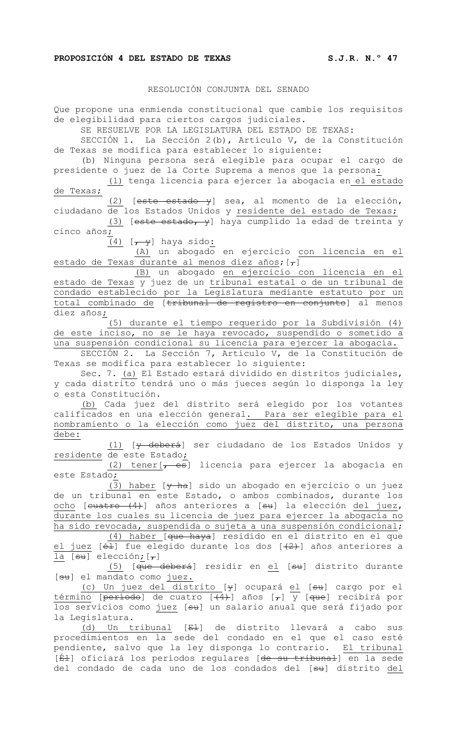### RESOLUCIÓN CONJUNTA DEL SENADO

Que propone una enmienda constitucional que cambie los requisitos de elegibilidad para ciertos cargos judiciales.

SE RESUELVE POR LA LEGISLATURA DEL ESTADO DE TEXAS:

SECCIÓN 1. La Sección 2(b), Artículo V, de la Constitución de Texas se modifica para establecer lo siguiente:

(b) Ninguna persona será elegible para ocupar el cargo de presidente o juez de la Corte Suprema a menos que la persona:

(1) tenga licencia para ejercer la abogacía en el estado de Texas;

(2) [este estado y] sea, al momento de la elección, ciudadano de los Estados Unidos y residente del estado de Texas;

(3) [este estado, y] haya cumplido la edad de treinta y cinco años;

 $(4)$  [ $\overline{y}$ ] haya sido:

(A) un abogado en ejercicio con licencia en el estado de Texas durante al menos diez años;  $[\tau]$ 

(B) un abogado en ejercicio con licencia en el estado de Texas y juez de un tribunal estatal o de un tribunal de condado establecido por la Legislatura mediante estatuto por un total combinado de [tribunal de registro en conjunto] al menos diez años;

(5) durante el tiempo requerido por la Subdivisión (4) de este inciso, no se le haya revocado, suspendido o sometido a una suspensión condicional su licencia para ejercer la abogacía.

SECCIÓN 2. La Sección 7, Artículo V, de la Constitución de Texas se modifica para establecer lo siguiente:

Sec. 7. (a) El Estado estará dividido en distritos judiciales, y cada distrito tendrá uno o más jueces según lo disponga la ley o esta Constitución.

(b) Cada juez del distrito será elegido por los votantes calificados en una elección general. Para ser elegible para el nombramiento o la elección como juez del distrito, una persona debe:

(1) [y deberá] ser ciudadano de los Estados Unidos y residente de este Estado;

(2) tener $[-es]$  licencia para ejercer la abogacía en este Estado;

(3) haber  $[\frac{1}{2}, \frac{1}{2}]$  sido un abogado en ejercicio o un juez de un tribunal en este Estado, o ambos combinados, durante los ocho [cuatro (4)] años anteriores a [su] la elección del juez, durante los cuales su licencia de juez para ejercer la abogacía no ha sido revocada, suspendida o sujeta a una suspensión condicional;

(4) haber [que haya] residido en el distrito en el que  $j$ uez [é $\pm$ ] fue elegido durante los dos [ $(2)$ ] años anteriores a la  $[su]$  elección;  $[\tau]$ 

(5) [que deberá] residir en el [su] distrito durante [su] el mandato como juez.

(c) Un juez del distrito [<del>y</del>] ocupará <u>el</u> [<del>su</del>] cargo por el <u>término</u> [<del>período</del>] de cuatro [<del>(4)</del>] años [<del>,</del>] y [<del>que</del>] recibirá por los servicios como <u>juez</u> [<del>su</del>] un salario anual que será fijado por la Legislatura.

(d) Un tribunal [El] de distrito llevará a cabo sus procedimientos en la sede del condado en el que el caso esté pendiente, salvo que la ley disponga lo contrario. El tribunal [<del>Él</del>] oficiará los períodos regulares [<del>de su tribunal</del>] en la sede del condado de cada uno de los condados del [su] distrito del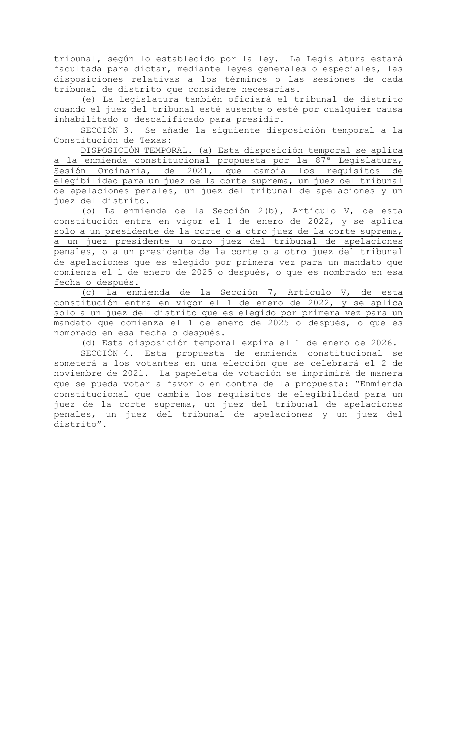tribunal, según lo establecido por la ley. La Legislatura estará facultada para dictar, mediante leyes generales o especiales, las disposiciones relativas a los términos o las sesiones de cada tribunal de distrito que considere necesarias.

(e) La Legislatura también oficiará el tribunal de distrito cuando el juez del tribunal esté ausente o esté por cualquier causa inhabilitado o descalificado para presidir.

SECCIÓN 3. Se añade la siguiente disposición temporal a la Constitución de Texas:

DISPOSICIÓN TEMPORAL. (a) Esta disposición temporal se aplica la enmienda constitucional propuesta por la 87<sup>ª</sup> Legislatura, Sesión Ordinaria, de 2021, que cambia los requisitos de elegibilidad para un juez de la corte suprema, un juez del tribunal de apelaciones penales, un juez del tribunal de apelaciones y un juez del distrito.

(b) La enmienda de la Sección 2(b), Artículo V, de esta constitución entra en vigor el 1 de enero de 2022, y se aplica solo a un presidente de la corte o a otro juez de la corte suprema, a un juez presidente u otro juez del tribunal de apelaciones penales, o a un presidente de la corte o a otro juez del tribunal de apelaciones que es elegido por primera vez para un mandato que comienza el 1 de enero de 2025 o después, o que es nombrado en esa fecha o después.

(c) La enmienda de la Sección 7, Artículo V, de esta constitución entra en vigor el 1 de enero de 2022, y se aplica solo a un juez del distrito que es elegido por primera vez para un mandato que comienza el 1 de enero de 2025 o después, o que es nombrado en esa fecha o después.

(d) Esta disposición temporal expira el 1 de enero de 2026.

SECCIÓN 4. Esta propuesta de enmienda constitucional se someterá a los votantes en una elección que se celebrará el 2 de noviembre de 2021. La papeleta de votación se imprimirá de manera que se pueda votar a favor o en contra de la propuesta: "Enmienda constitucional que cambia los requisitos de elegibilidad para un juez de la corte suprema, un juez del tribunal de apelaciones penales, un juez del tribunal de apelaciones y un juez del distrito".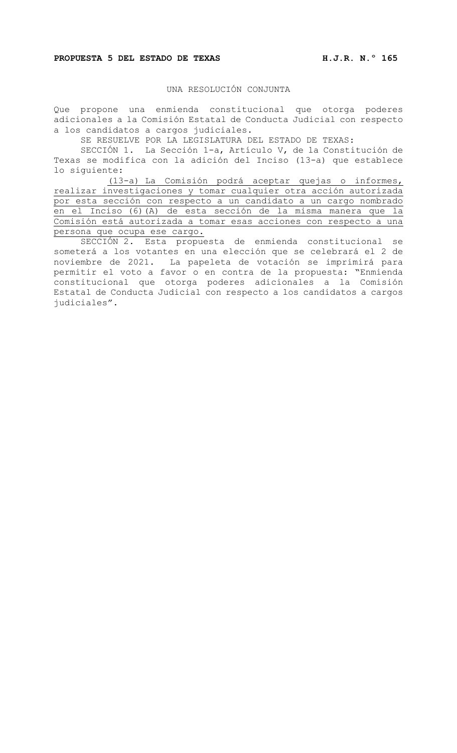#### **PROPUESTA 5 DEL ESTADO DE TEXAS H.J.R. N.º 165**

# UNA RESOLUCIÓN CONJUNTA

Que propone una enmienda constitucional que otorga poderes adicionales a la Comisión Estatal de Conducta Judicial con respecto a los candidatos a cargos judiciales.

SE RESUELVE POR LA LEGISLATURA DEL ESTADO DE TEXAS:

SECCIÓN 1. La Sección 1-a, Artículo V, de la Constitución de Texas se modifica con la adición del Inciso (13-a) que establece lo siguiente:

(13-a) La Comisión podrá aceptar quejas o informes, realizar investigaciones y tomar cualquier otra acción autorizada por esta sección con respecto a un candidato a un cargo nombrado en el Inciso (6)(A) de esta sección de la misma manera que la Comisión está autorizada a tomar esas acciones con respecto a una persona que ocupa ese cargo.

SECCIÓN 2. Esta propuesta de enmienda constitucional se someterá a los votantes en una elección que se celebrará el 2 de noviembre de 2021. La papeleta de votación se imprimirá para permitir el voto a favor o en contra de la propuesta: "Enmienda constitucional que otorga poderes adicionales a la Comisión Estatal de Conducta Judicial con respecto a los candidatos a cargos judiciales".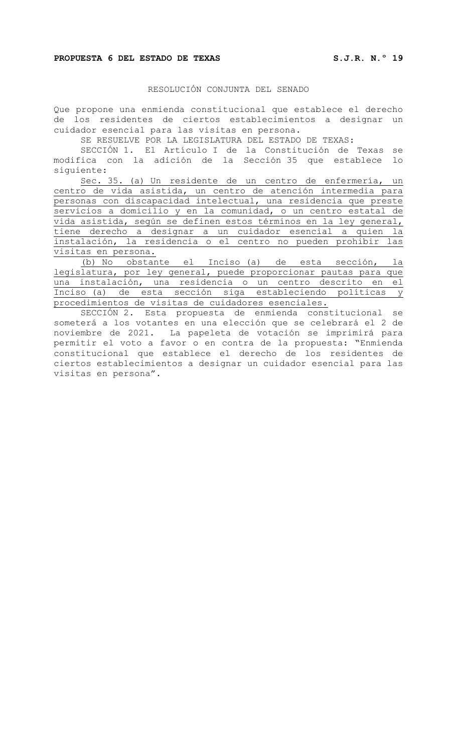#### **PROPUESTA 6 DEL ESTADO DE TEXAS S.J.R. N.º 19**

### RESOLUCIÓN CONJUNTA DEL SENADO

Que propone una enmienda constitucional que establece el derecho de los residentes de ciertos establecimientos a designar un cuidador esencial para las visitas en persona.

SE RESUELVE POR LA LEGISLATURA DEL ESTADO DE TEXAS:

SECCIÓN 1. El Artículo I de la Constitución de Texas se modifica con la adición de la Sección 35 que establece lo siguiente:

Sec. 35. (a) Un residente de un centro de enfermería, un centro de vida asistida, un centro de atención intermedia para personas con discapacidad intelectual, una residencia que preste servicios a domicilio y en la comunidad, o un centro estatal de vida asistida, según se definen estos términos en la ley general, tiene derecho a designar a un cuidador esencial a quien la instalación, la residencia o el centro no pueden prohibir las visitas en persona.

(b) No obstante el Inciso (a) de esta sección, la legislatura, por ley general, puede proporcionar pautas para que una instalación, una residencia o un centro descrito en el Inciso (a) de esta sección siga estableciendo políticas y procedimientos de visitas de cuidadores esenciales.

SECCIÓN 2. Esta propuesta de enmienda constitucional se someterá a los votantes en una elección que se celebrará el 2 de noviembre de 2021. La papeleta de votación se imprimirá para permitir el voto a favor o en contra de la propuesta: "Enmienda constitucional que establece el derecho de los residentes de ciertos establecimientos a designar un cuidador esencial para las visitas en persona".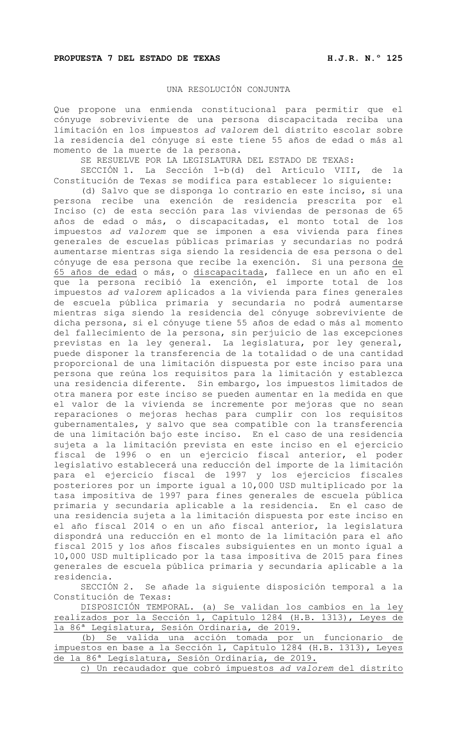### UNA RESOLUCIÓN CONJUNTA

Que propone una enmienda constitucional para permitir que el cónyuge sobreviviente de una persona discapacitada reciba una limitación en los impuestos *ad valorem* del distrito escolar sobre la residencia del cónyuge si este tiene 55 años de edad o más al momento de la muerte de la persona.

SE RESUELVE POR LA LEGISLATURA DEL ESTADO DE TEXAS:<br>SECCIÓN 1. La Sección 1-b(d) del Artículo VIII

La Sección 1-b(d) del Artículo VIII, de la Constitución de Texas se modifica para establecer lo siguiente:

(d) Salvo que se disponga lo contrario en este inciso, si una persona recibe una exención de residencia prescrita por el Inciso (c) de esta sección para las viviendas de personas de 65 años de edad o más, o discapacitadas, el monto total de los impuestos *ad valorem* que se imponen a esa vivienda para fines generales de escuelas públicas primarias y secundarias no podrá aumentarse mientras siga siendo la residencia de esa persona o del cónyuge de esa persona que recibe la exención. Si una persona de 65 años de edad o más, o discapacitada, fallece en un año en el que la persona recibió la exención, el importe total de los impuestos *ad valorem* aplicados a la vivienda para fines generales de escuela pública primaria y secundaria no podrá aumentarse mientras siga siendo la residencia del cónyuge sobreviviente de dicha persona, si el cónyuge tiene 55 años de edad o más al momento del fallecimiento de la persona, sin perjuicio de las excepciones previstas en la ley general. La legislatura, por ley general, puede disponer la transferencia de la totalidad o de una cantidad proporcional de una limitación dispuesta por este inciso para una persona que reúna los requisitos para la limitación y establezca una residencia diferente. Sin embargo, los impuestos limitados de otra manera por este inciso se pueden aumentar en la medida en que el valor de la vivienda se incremente por mejoras que no sean reparaciones o mejoras hechas para cumplir con los requisitos gubernamentales, y salvo que sea compatible con la transferencia de una limitación bajo este inciso. En el caso de una residencia sujeta a la limitación prevista en este inciso en el ejercicio fiscal de 1996 o en un ejercicio fiscal anterior, el poder legislativo establecerá una reducción del importe de la limitación para el ejercicio fiscal de 1997 y los ejercicios fiscales posteriores por un importe igual a 10,000 USD multiplicado por la tasa impositiva de 1997 para fines generales de escuela pública primaria y secundaria aplicable a la residencia. En el caso de una residencia sujeta a la limitación dispuesta por este inciso en el año fiscal 2014 o en un año fiscal anterior, la legislatura dispondrá una reducción en el monto de la limitación para el año fiscal 2015 y los años fiscales subsiguientes en un monto igual a 10,000 USD multiplicado por la tasa impositiva de 2015 para fines generales de escuela pública primaria y secundaria aplicable a la residencia.

SECCIÓN 2. Se añade la siguiente disposición temporal a la Constitución de Texas:

DISPOSICIÓN TEMPORAL. (a) Se validan los cambios en la ley realizados por la Sección 1, Capítulo 1284 (H.B. 1313), Leyes de la 86ª Legislatura, Sesión Ordinaria, de 2019.

(b) Se valida una acción tomada por un funcionario de impuestos en base a la Sección 1, Capítulo 1284 (H.B. 1313), Leyes de la 86ª Legislatura, Sesión Ordinaria, de 2019.

c) Un recaudador que cobró impuestos *ad valorem* del distrito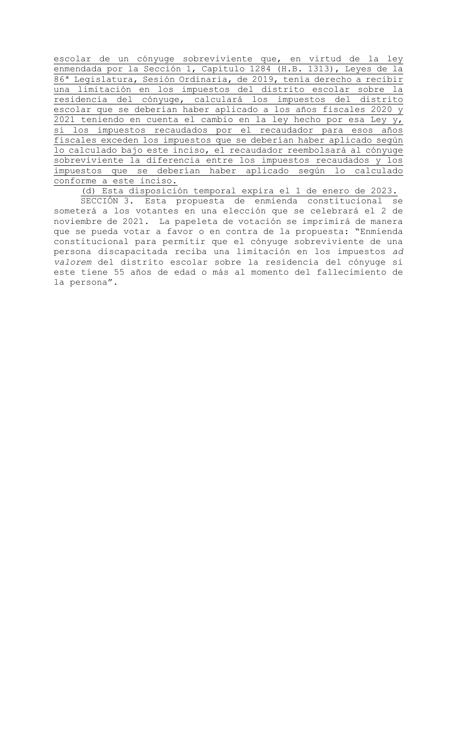escolar de un cónyuge sobreviviente que, en virtud de la ley enmendada por la Sección 1, Capítulo 1284 (H.B. 1313), Leyes de la 86ª Legislatura, Sesión Ordinaria, de 2019, tenía derecho a recibir una limitación en los impuestos del distrito escolar sobre la residencia del cónyuge, calculará los impuestos del distrito escolar que se deberían haber aplicado a los años fiscales 2020 y 2021 teniendo en cuenta el cambio en la ley hecho por esa Ley y, si los impuestos recaudados por el recaudador para esos años fiscales exceden los impuestos que se deberían haber aplicado según lo calculado bajo este inciso, el recaudador reembolsará al cónyuge sobreviviente la diferencia entre los impuestos recaudados y los impuestos que se deberían haber aplicado según lo calculado conforme a este inciso.

(d) Esta disposición temporal expira el 1 de enero de 2023.

SECCIÓN 3. Esta propuesta de enmienda constitucional se someterá a los votantes en una elección que se celebrará el 2 de noviembre de 2021. La papeleta de votación se imprimirá de manera que se pueda votar a favor o en contra de la propuesta: "Enmienda constitucional para permitir que el cónyuge sobreviviente de una persona discapacitada reciba una limitación en los impuestos *ad valorem* del distrito escolar sobre la residencia del cónyuge si este tiene 55 años de edad o más al momento del fallecimiento de la persona".